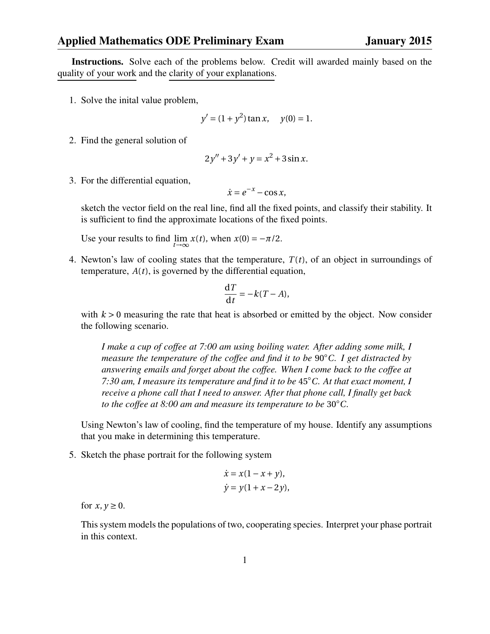## Applied Mathematics ODE Preliminary Exam January 2015

Instructions. Solve each of the problems below. Credit will awarded mainly based on the quality of your work and the clarity of your explanations.

1. Solve the inital value problem,

$$
y' = (1 + y^2) \tan x, \quad y(0) = 1.
$$

2. Find the general solution of

$$
2y'' + 3y' + y = x^2 + 3\sin x.
$$

3. For the differential equation,

$$
\dot{x} = e^{-x} - \cos x,
$$

sketch the vector field on the real line, find all the fixed points, and classify their stability. It is sufficient to find the approximate locations of the fixed points.

Use your results to find  $\lim_{t \to \infty} x(t)$ , when  $x(0) = -\pi/2$ .

4. Newton's law of cooling states that the temperature,  $T(t)$ , of an object in surroundings of temperature, *A*(*t*), is governed by the differential equation,

$$
\frac{\mathrm{d}T}{\mathrm{d}t} = -k(T - A),
$$

with  $k > 0$  measuring the rate that heat is absorbed or emitted by the object. Now consider the following scenario.

*I make a cup of coffee at 7:00 am using boiling water. After adding some milk, I measure the temperature of the coffee and find it to be* 90◦*C. I get distracted by answering emails and forget about the coffee. When I come back to the coffee at 7:30 am, I measure its temperature and find it to be* 45◦*C. At that exact moment, I receive a phone call that I need to answer. After that phone call, I finally get back to the coffee at 8:00 am and measure its temperature to be* 30◦*C.*

Using Newton's law of cooling, find the temperature of my house. Identify any assumptions that you make in determining this temperature.

5. Sketch the phase portrait for the following system

$$
\dot{x} = x(1 - x + y),
$$
  
\n
$$
\dot{y} = y(1 + x - 2y),
$$

for  $x, y \ge 0$ .

This system models the populations of two, cooperating species. Interpret your phase portrait in this context.